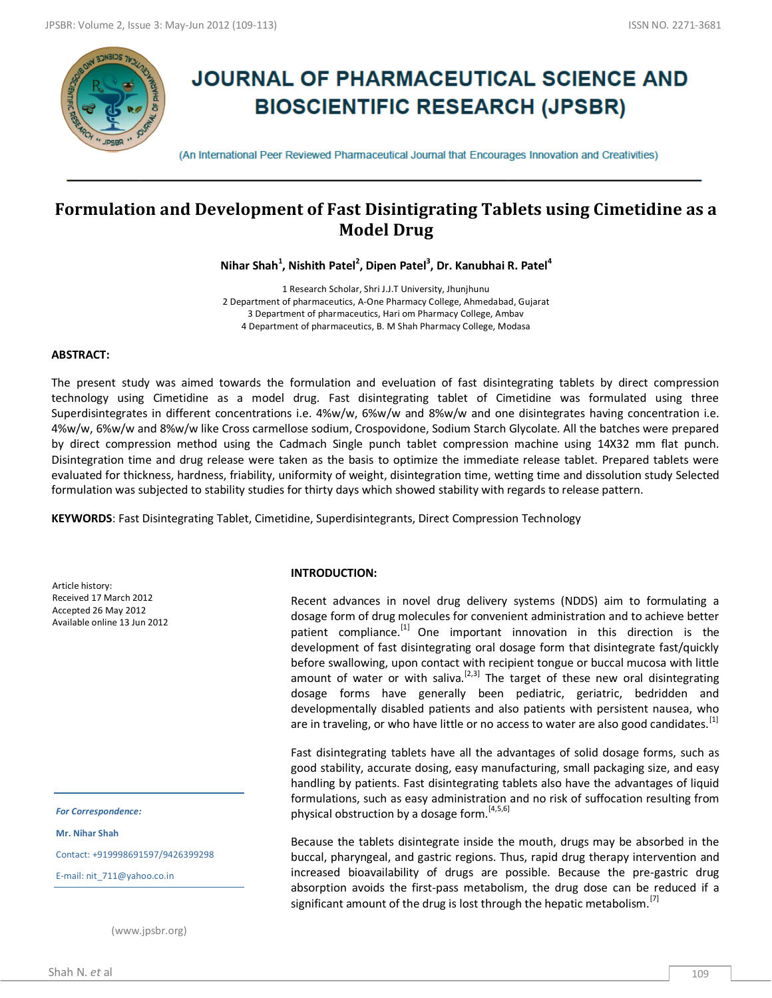

# **JOURNAL OF PHARMACEUTICAL SCIENCE AND BIOSCIENTIFIC RESEARCH (JPSBR)**

(An International Peer Reviewed Pharmaceutical Journal that Encourages Innovation and Creativities)

# **Formulation and Development of Fast Disintigrating Tablets using Cimetidine as a Model Drug**

**Nihar Shah<sup>1</sup> , Nishith Patel<sup>2</sup> , Dipen Patel<sup>3</sup> , Dr. Kanubhai R. Patel<sup>4</sup>**

1 Research Scholar, Shri J.J.T University, Jhunjhunu 2 Department of pharmaceutics, A-One Pharmacy College, Ahmedabad, Gujarat 3 Department of pharmaceutics, Hari om Pharmacy College, Ambav 4 Department of pharmaceutics, B. M Shah Pharmacy College, Modasa

# **ABSTRACT:**

The present study was aimed towards the formulation and eveluation of fast disintegrating tablets by direct compression technology using Cimetidine as a model drug. Fast disintegrating tablet of Cimetidine was formulated using three Superdisintegrates in different concentrations i.e. 4%w/w, 6%w/w and 8%w/w and one disintegrates having concentration i.e. 4%w/w, 6%w/w and 8%w/w like Cross carmellose sodium, Crospovidone, Sodium Starch Glycolate. All the batches were prepared by direct compression method using the Cadmach Single punch tablet compression machine using 14X32 mm flat punch. Disintegration time and drug release were taken as the basis to optimize the immediate release tablet. Prepared tablets were evaluated for thickness, hardness, friability, uniformity of weight, disintegration time, wetting time and dissolution study Selected formulation was subjected to stability studies for thirty days which showed stability with regards to release pattern.

**KEYWORDS**: Fast Disintegrating Tablet, Cimetidine, Superdisintegrants, Direct Compression Technology

Article history: Received 17 March 2012 Accepted 26 May 2012 Available online 13 Jun 2012

*For Correspondence:*

**Mr. Nihar Shah**

Contact: +919998691597/9426399298

E-mail: nit\_711@yahoo.co.in

(www.jpsbr.org)

#### **INTRODUCTION:**

Recent advances in novel drug delivery systems (NDDS) aim to formulating a dosage form of drug molecules for convenient administration and to achieve better patient compliance.<sup>[1]</sup> One important innovation in this direction is the development of fast disintegrating oral dosage form that disintegrate fast/quickly before swallowing, upon contact with recipient tongue or buccal mucosa with little amount of water or with saliva.<sup>[2,3]</sup> The target of these new oral disintegrating dosage forms have generally been pediatric, geriatric, bedridden and developmentally disabled patients and also patients with persistent nausea, who are in traveling, or who have little or no access to water are also good candidates.<sup>[1]</sup>

Fast disintegrating tablets have all the advantages of solid dosage forms, such as good stability, accurate dosing, easy manufacturing, small packaging size, and easy handling by patients. Fast disintegrating tablets also have the advantages of liquid formulations, such as easy administration and no risk of suffocation resulting from physical obstruction by a dosage form.<sup>[4,5,6]</sup>

Because the tablets disintegrate inside the mouth, drugs may be absorbed in the buccal, pharyngeal, and gastric regions. Thus, rapid drug therapy intervention and increased bioavailability of drugs are possible. Because the pre-gastric drug absorption avoids the first-pass metabolism, the drug dose can be reduced if a significant amount of the drug is lost through the hepatic metabolism.  $\frac{1}{1}$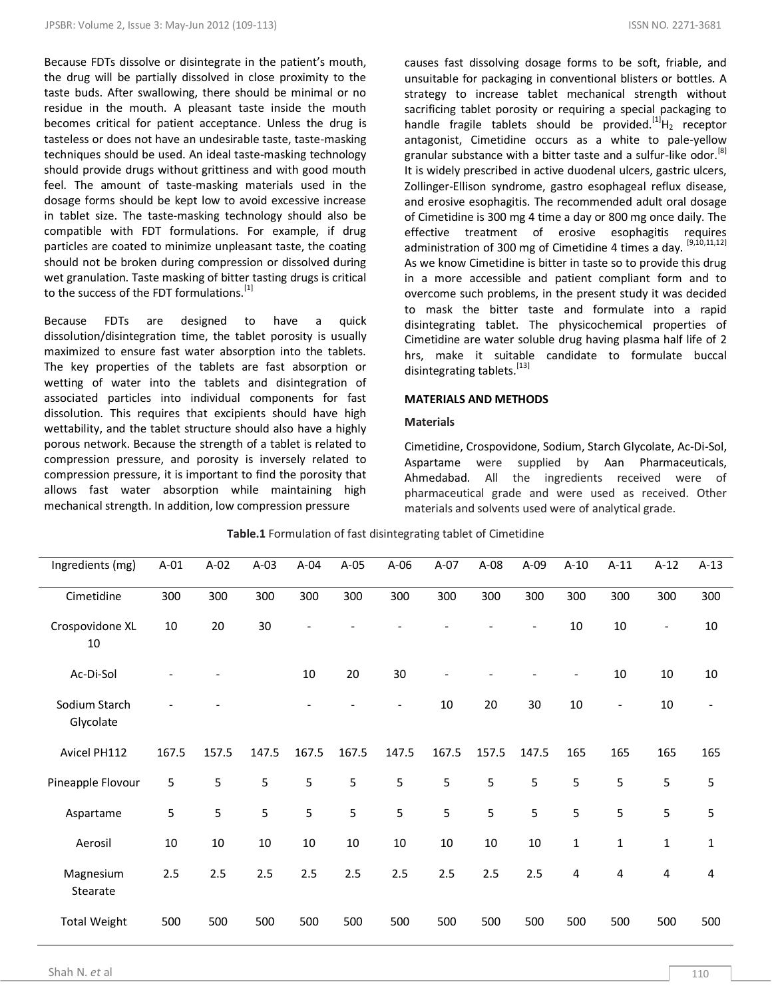Because FDTs dissolve or disintegrate in the patient's mouth, the drug will be partially dissolved in close proximity to the taste buds. After swallowing, there should be minimal or no residue in the mouth. A pleasant taste inside the mouth becomes critical for patient acceptance. Unless the drug is tasteless or does not have an undesirable taste, taste-masking techniques should be used. An ideal taste-masking technology should provide drugs without grittiness and with good mouth feel. The amount of taste-masking materials used in the dosage forms should be kept low to avoid excessive increase in tablet size. The taste-masking technology should also be compatible with FDT formulations. For example, if drug particles are coated to minimize unpleasant taste, the coating should not be broken during compression or dissolved during wet granulation. Taste masking of bitter tasting drugs is critical to the success of the FDT formulations.<sup>[1]</sup>

Because FDTs are designed to have a quick dissolution/disintegration time, the tablet porosity is usually maximized to ensure fast water absorption into the tablets. The key properties of the tablets are fast absorption or wetting of water into the tablets and disintegration of associated particles into individual components for fast dissolution. This requires that excipients should have high wettability, and the tablet structure should also have a highly porous network. Because the strength of a tablet is related to compression pressure, and porosity is inversely related to compression pressure, it is important to find the porosity that allows fast water absorption while maintaining high mechanical strength. In addition, low compression pressure

causes fast dissolving dosage forms to be soft, friable, and unsuitable for packaging in conventional blisters or bottles. A strategy to increase tablet mechanical strength without sacrificing tablet porosity or requiring a special packaging to handle fragile tablets should be provided.<sup>[1]</sup>H<sub>2</sub> receptor antagonist, Cimetidine occurs as a white to pale-yellow granular substance with a bitter taste and a sulfur-like odor.<sup>[8]</sup> It is widely prescribed in active duodenal ulcers, gastric ulcers, Zollinger-Ellison syndrome, gastro esophageal reflux disease, and erosive esophagitis. The recommended adult oral dosage of Cimetidine is 300 mg 4 time a day or 800 mg once daily. The effective treatment of erosive esophagitis requires administration of 300 mg of Cimetidine 4 times a day. [9,10,11,12] As we know Cimetidine is bitter in taste so to provide this drug in a more accessible and patient compliant form and to overcome such problems, in the present study it was decided to mask the bitter taste and formulate into a rapid disintegrating tablet. The physicochemical properties of Cimetidine are water soluble drug having plasma half life of 2 hrs, make it suitable candidate to formulate buccal disintegrating tablets.<sup>[13]</sup>

#### **MATERIALS AND METHODS**

#### **Materials**

Cimetidine, Crospovidone, Sodium, Starch Glycolate, Ac-Di-Sol, Aspartame were supplied by Aan Pharmaceuticals, Ahmedabad. All the ingredients received were of pharmaceutical grade and were used as received. Other materials and solvents used were of analytical grade.

| Ingredients (mg)           | $A-01$ | $A-02$ | $A-03$ | $A-04$                   | $A-05$ | $A-06$         | $A-07$ | $A-08$ | $A-09$         | $A-10$                   | $A-11$         | $A-12$                   | $A-13$                   |
|----------------------------|--------|--------|--------|--------------------------|--------|----------------|--------|--------|----------------|--------------------------|----------------|--------------------------|--------------------------|
| Cimetidine                 | 300    | 300    | 300    | 300                      | 300    | 300            | 300    | 300    | 300            | 300                      | 300            | 300                      | 300                      |
| Crospovidone XL<br>10      | 10     | 20     | 30     | ۰                        |        |                |        |        | $\overline{a}$ | 10                       | 10             | $\overline{\phantom{a}}$ | 10                       |
| Ac-Di-Sol                  |        |        |        | 10                       | 20     | 30             |        |        |                | $\overline{\phantom{0}}$ | 10             | 10                       | 10                       |
| Sodium Starch<br>Glycolate |        |        |        | $\overline{\phantom{a}}$ |        | $\blacksquare$ | 10     | 20     | 30             | 10                       | $\blacksquare$ | $10\,$                   | $\overline{\phantom{a}}$ |
| Avicel PH112               | 167.5  | 157.5  | 147.5  | 167.5                    | 167.5  | 147.5          | 167.5  | 157.5  | 147.5          | 165                      | 165            | 165                      | 165                      |
| Pineapple Flovour          | 5      | 5      | 5      | 5                        | 5      | 5              | 5      | 5      | 5              | 5                        | 5              | 5                        | 5                        |
| Aspartame                  | 5      | 5      | 5      | 5                        | 5      | 5              | 5      | 5      | 5              | 5                        | 5              | 5                        | 5                        |
| Aerosil                    | 10     | 10     | $10\,$ | 10                       | 10     | 10             | 10     | 10     | 10             | $\mathbf{1}$             | $\mathbf{1}$   | $\mathbf{1}$             | $\mathbf{1}$             |
| Magnesium<br>Stearate      | 2.5    | 2.5    | 2.5    | 2.5                      | 2.5    | 2.5            | 2.5    | 2.5    | 2.5            | 4                        | 4              | 4                        | 4                        |
| <b>Total Weight</b>        | 500    | 500    | 500    | 500                      | 500    | 500            | 500    | 500    | 500            | 500                      | 500            | 500                      | 500                      |

**Table.1** Formulation of fast disintegrating tablet of Cimetidine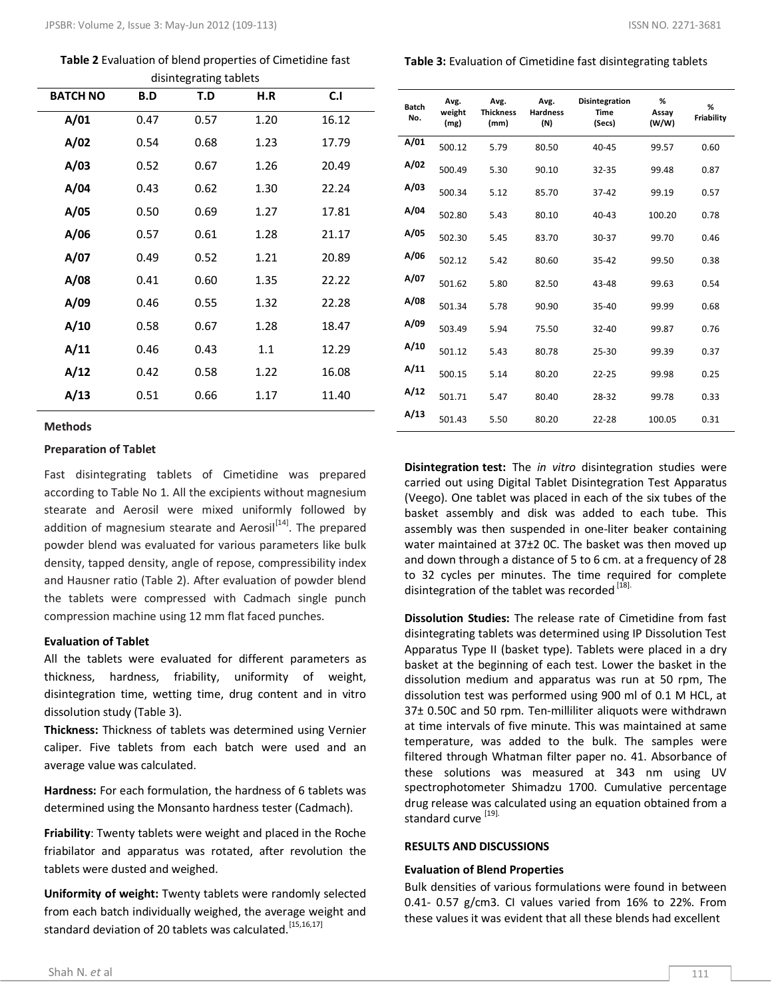**Table 2** Evaluation of blend properties of Cimetidine fast

| <b>BATCH NO</b> | B.D  | T.D  | H.R  | C.I   |
|-----------------|------|------|------|-------|
| A/01            | 0.47 | 0.57 | 1.20 | 16.12 |
| A/02            | 0.54 | 0.68 | 1.23 | 17.79 |
| A/03            | 0.52 | 0.67 | 1.26 | 20.49 |
| A/04            | 0.43 | 0.62 | 1.30 | 22.24 |
| A/05            | 0.50 | 0.69 | 1.27 | 17.81 |
| A/06            | 0.57 | 0.61 | 1.28 | 21.17 |
| A/07            | 0.49 | 0.52 | 1.21 | 20.89 |
| A/08            | 0.41 | 0.60 | 1.35 | 22.22 |
| A/09            | 0.46 | 0.55 | 1.32 | 22.28 |
| A/10            | 0.58 | 0.67 | 1.28 | 18.47 |
| A/11            | 0.46 | 0.43 | 1.1  | 12.29 |
| A/12            | 0.42 | 0.58 | 1.22 | 16.08 |
| A/13            | 0.51 | 0.66 | 1.17 | 11.40 |

#### **Methods**

# **Preparation of Tablet**

Fast disintegrating tablets of Cimetidine was prepared according to Table No 1. All the excipients without magnesium stearate and Aerosil were mixed uniformly followed by addition of magnesium stearate and Aerosil $[14]$ . The prepared powder blend was evaluated for various parameters like bulk density, tapped density, angle of repose, compressibility index and Hausner ratio (Table 2). After evaluation of powder blend the tablets were compressed with Cadmach single punch compression machine using 12 mm flat faced punches.

#### **Evaluation of Tablet**

All the tablets were evaluated for different parameters as thickness, hardness, friability, uniformity of weight, disintegration time, wetting time, drug content and in vitro dissolution study (Table 3).

**Thickness:** Thickness of tablets was determined using Vernier caliper. Five tablets from each batch were used and an average value was calculated.

**Hardness:** For each formulation, the hardness of 6 tablets was determined using the Monsanto hardness tester (Cadmach).

**Friability**: Twenty tablets were weight and placed in the Roche friabilator and apparatus was rotated, after revolution the tablets were dusted and weighed.

**Uniformity of weight:** Twenty tablets were randomly selected from each batch individually weighed, the average weight and standard deviation of 20 tablets was calculated.<sup>[15,16,17]</sup>

**Table 3:** Evaluation of Cimetidine fast disintegrating tablets

| <b>Batch</b><br>No. | Avg.<br>weight<br>(mg) | Avg.<br><b>Thickness</b><br>(mm) | Avg.<br><b>Hardness</b><br>(N) | Disintegration<br><b>Time</b><br>(Secs) | %<br>Assay<br>(W/W) | %<br>Friability |
|---------------------|------------------------|----------------------------------|--------------------------------|-----------------------------------------|---------------------|-----------------|
| A/01                | 500.12                 | 5.79                             | 80.50                          | $40 - 45$                               | 99.57               | 0.60            |
| A/02                | 500.49                 | 5.30                             | 90.10                          | $32 - 35$                               | 99.48               | 0.87            |
| A/03                | 500.34                 | 5.12                             | 85.70                          | $37 - 42$                               | 99.19               | 0.57            |
| A/04                | 502.80                 | 5.43                             | 80.10                          | $40 - 43$                               | 100.20              | 0.78            |
| A/05                | 502.30                 | 5.45                             | 83.70                          | 30-37                                   | 99.70               | 0.46            |
| A/06                | 502.12                 | 5.42                             | 80.60                          | $35 - 42$                               | 99.50               | 0.38            |
| A/07                | 501.62                 | 5.80                             | 82.50                          | 43-48                                   | 99.63               | 0.54            |
| A/08                | 501.34                 | 5.78                             | 90.90                          | 35-40                                   | 99.99               | 0.68            |
| A/09                | 503.49                 | 5.94                             | 75.50                          | $32 - 40$                               | 99.87               | 0.76            |
| A/10                | 501.12                 | 5.43                             | 80.78                          | $25 - 30$                               | 99.39               | 0.37            |
| A/11                | 500.15                 | 5.14                             | 80.20                          | $22 - 25$                               | 99.98               | 0.25            |
| A/12                | 501.71                 | 5.47                             | 80.40                          | 28-32                                   | 99.78               | 0.33            |
| A/13                | 501.43                 | 5.50                             | 80.20                          | $22 - 28$                               | 100.05              | 0.31            |

**Disintegration test:** The *in vitro* disintegration studies were carried out using Digital Tablet Disintegration Test Apparatus (Veego). One tablet was placed in each of the six tubes of the basket assembly and disk was added to each tube. This assembly was then suspended in one-liter beaker containing water maintained at 37±2 0C. The basket was then moved up and down through a distance of 5 to 6 cm. at a frequency of 28 to 32 cycles per minutes. The time required for complete disintegration of the tablet was recorded [18].

**Dissolution Studies:** The release rate of Cimetidine from fast disintegrating tablets was determined using IP Dissolution Test Apparatus Type II (basket type). Tablets were placed in a dry basket at the beginning of each test. Lower the basket in the dissolution medium and apparatus was run at 50 rpm, The dissolution test was performed using 900 ml of 0.1 M HCL, at 37± 0.50C and 50 rpm. Ten-milliliter aliquots were withdrawn at time intervals of five minute. This was maintained at same temperature, was added to the bulk. The samples were filtered through Whatman filter paper no. 41. Absorbance of these solutions was measured at 343 nm using UV spectrophotometer Shimadzu 1700. Cumulative percentage drug release was calculated using an equation obtained from a standard curve [19].

## **RESULTS AND DISCUSSIONS**

# **Evaluation of Blend Properties**

Bulk densities of various formulations were found in between 0.41- 0.57 g/cm3. CI values varied from 16% to 22%. From these values it was evident that all these blends had excellent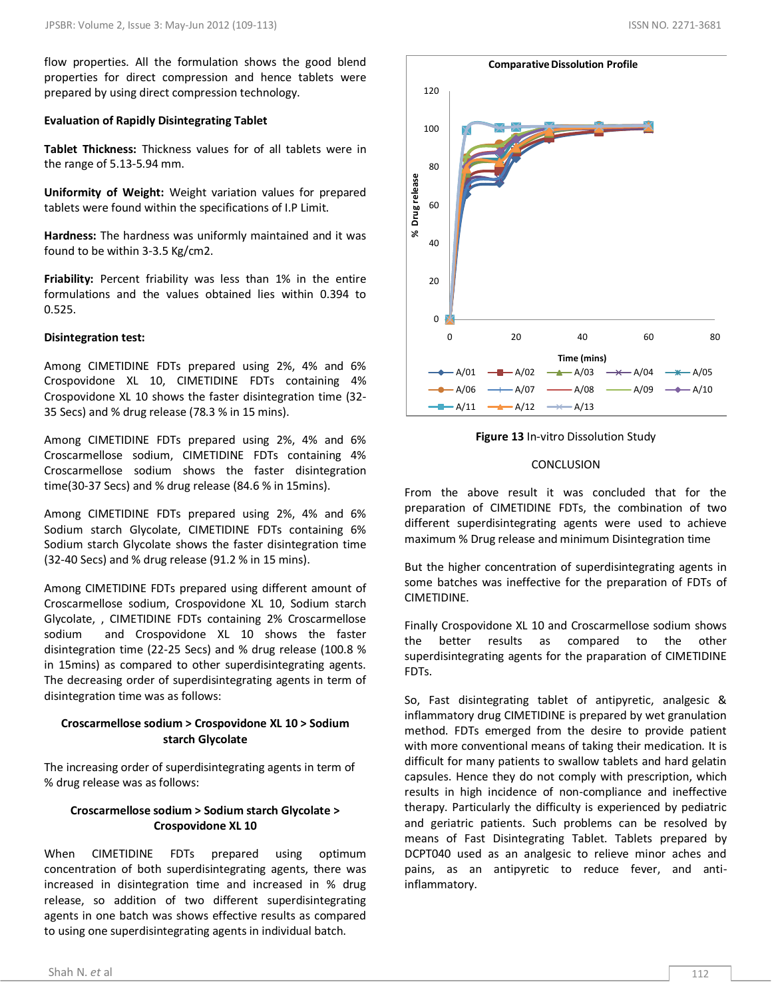flow properties. All the formulation shows the good blend properties for direct compression and hence tablets were prepared by using direct compression technology.

# **Evaluation of Rapidly Disintegrating Tablet**

**Tablet Thickness:** Thickness values for of all tablets were in the range of 5.13-5.94 mm.

**Uniformity of Weight:** Weight variation values for prepared tablets were found within the specifications of I.P Limit.

**Hardness:** The hardness was uniformly maintained and it was found to be within 3-3.5 Kg/cm2.

**Friability:** Percent friability was less than 1% in the entire formulations and the values obtained lies within 0.394 to 0.525.

# **Disintegration test:**

Among CIMETIDINE FDTs prepared using 2%, 4% and 6% Crospovidone XL 10, CIMETIDINE FDTs containing 4% Crospovidone XL 10 shows the faster disintegration time (32- 35 Secs) and % drug release (78.3 % in 15 mins).

Among CIMETIDINE FDTs prepared using 2%, 4% and 6% Croscarmellose sodium, CIMETIDINE FDTs containing 4% Croscarmellose sodium shows the faster disintegration time(30-37 Secs) and % drug release (84.6 % in 15mins).

Among CIMETIDINE FDTs prepared using 2%, 4% and 6% Sodium starch Glycolate, CIMETIDINE FDTs containing 6% Sodium starch Glycolate shows the faster disintegration time (32-40 Secs) and % drug release (91.2 % in 15 mins).

Among CIMETIDINE FDTs prepared using different amount of Croscarmellose sodium, Crospovidone XL 10, Sodium starch Glycolate, , CIMETIDINE FDTs containing 2% Croscarmellose sodium and Crospovidone XL 10 shows the faster disintegration time (22-25 Secs) and % drug release (100.8 % in 15mins) as compared to other superdisintegrating agents. The decreasing order of superdisintegrating agents in term of disintegration time was as follows:

# **Croscarmellose sodium > Crospovidone XL 10 > Sodium starch Glycolate**

The increasing order of superdisintegrating agents in term of % drug release was as follows:

# **Croscarmellose sodium > Sodium starch Glycolate > Crospovidone XL 10**

When CIMETIDINE FDTs prepared using optimum concentration of both superdisintegrating agents, there was increased in disintegration time and increased in % drug release, so addition of two different superdisintegrating agents in one batch was shows effective results as compared to using one superdisintegrating agents in individual batch.



# **Figure 13** In-vitro Dissolution Study

# **CONCLUSION**

From the above result it was concluded that for the preparation of CIMETIDINE FDTs, the combination of two different superdisintegrating agents were used to achieve maximum % Drug release and minimum Disintegration time

But the higher concentration of superdisintegrating agents in some batches was ineffective for the preparation of FDTs of CIMETIDINE.

Finally Crospovidone XL 10 and Croscarmellose sodium shows the better results as compared to the other superdisintegrating agents for the praparation of CIMETIDINE FDTs.

So, Fast disintegrating tablet of antipyretic, analgesic & inflammatory drug CIMETIDINE is prepared by wet granulation method. FDTs emerged from the desire to provide patient with more conventional means of taking their medication*.* It is difficult for many patients to swallow tablets and hard gelatin capsules. Hence they do not comply with prescription, which results in high incidence of non-compliance and ineffective therapy. Particularly the difficulty is experienced by pediatric and geriatric patients. Such problems can be resolved by means of Fast Disintegrating Tablet. Tablets prepared by DCPT040 used as an analgesic to relieve minor aches and pains, as an antipyretic to reduce fever, and antiinflammatory.